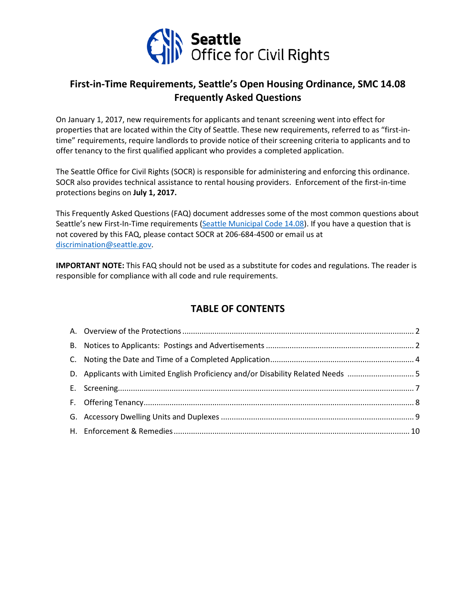

# **First-in-Time Requirements, Seattle's Open Housing Ordinance, SMC 14.08 Frequently Asked Questions**

On January 1, 2017, new requirements for applicants and tenant screening went into effect for properties that are located within the City of Seattle. These new requirements, referred to as "first-intime" requirements, require landlords to provide notice of their screening criteria to applicants and to offer tenancy to the first qualified applicant who provides a completed application.

The Seattle Office for Civil Rights (SOCR) is responsible for administering and enforcing this ordinance. SOCR also provides technical assistance to rental housing providers. Enforcement of the first-in-time protections begins on **July 1, 2017.**

This Frequently Asked Questions (FAQ) document addresses some of the most common questions about Seattle's new First-In-Time requirements [\(Seattle Municipal Code 14.08\)](https://www.municode.com/library/wa/seattle/codes/municipal_code?nodeId=TIT14HURI_CH14.08UNHOPR). If you have a question that is not covered by this FAQ, please contact SOCR at 206-684-4500 or email us at [discrimination@seattle.gov.](mailto:discrimination@seattle.gov)

**IMPORTANT NOTE:** This FAQ should not be used as a substitute for codes and regulations. The reader is responsible for compliance with all code and rule requirements.

# **TABLE OF CONTENTS**

| D. Applicants with Limited English Proficiency and/or Disability Related Needs 5 |  |
|----------------------------------------------------------------------------------|--|
|                                                                                  |  |
|                                                                                  |  |
|                                                                                  |  |
|                                                                                  |  |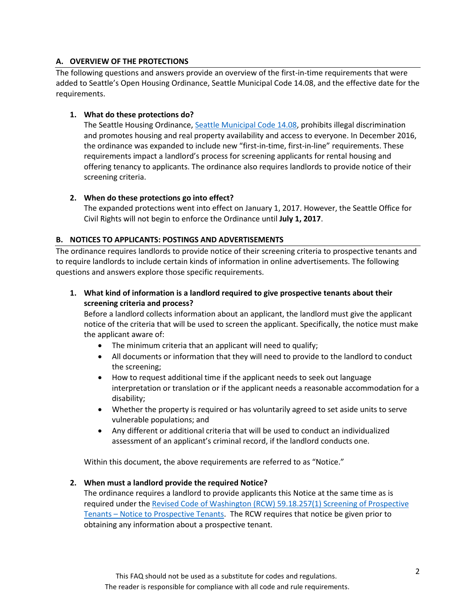# **A. OVERVIEW OF THE PROTECTIONS**

The following questions and answers provide an overview of the first-in-time requirements that were added to Seattle's Open Housing Ordinance, Seattle Municipal Code 14.08, and the effective date for the requirements.

## **1. What do these protections do?**

The Seattle Housing Ordinance, [Seattle Municipal Code 14.08,](https://www.municode.com/library/wa/seattle/codes/municipal_code?nodeId=TIT14HURI_CH14.08UNHOPR) prohibits illegal discrimination and promotes housing and real property availability and access to everyone. In December 2016, the ordinance was expanded to include new "first-in-time, first-in-line" requirements. These requirements impact a landlord's process for screening applicants for rental housing and offering tenancy to applicants. The ordinance also requires landlords to provide notice of their screening criteria.

## **2. When do these protections go into effect?**

The expanded protections went into effect on January 1, 2017. However, the Seattle Office for Civil Rights will not begin to enforce the Ordinance until **July 1, 2017**.

## **B. NOTICES TO APPLICANTS: POSTINGS AND ADVERTISEMENTS**

The ordinance requires landlords to provide notice of their screening criteria to prospective tenants and to require landlords to include certain kinds of information in online advertisements. The following questions and answers explore those specific requirements.

**1. What kind of information is a landlord required to give prospective tenants about their screening criteria and process?**

Before a landlord collects information about an applicant, the landlord must give the applicant notice of the criteria that will be used to screen the applicant. Specifically, the notice must make the applicant aware of:

- The minimum criteria that an applicant will need to qualify;
- All documents or information that they will need to provide to the landlord to conduct the screening;
- How to request additional time if the applicant needs to seek out language interpretation or translation or if the applicant needs a reasonable accommodation for a disability;
- Whether the property is required or has voluntarily agreed to set aside units to serve vulnerable populations; and
- Any different or additional criteria that will be used to conduct an individualized assessment of an applicant's criminal record, if the landlord conducts one.

Within this document, the above requirements are referred to as "Notice."

## **2. When must a landlord provide the required Notice?**

The ordinance requires a landlord to provide applicants this Notice at the same time as is required under th[e Revised Code of Washington \(RCW\) 59.18.257\(1\) Screening of Prospective](http://apps.leg.wa.gov/RCW/default.aspx?cite=59.18.257)  Tenants – [Notice to Prospective Tenants.](http://apps.leg.wa.gov/RCW/default.aspx?cite=59.18.257) The RCW requires that notice be given prior to obtaining any information about a prospective tenant.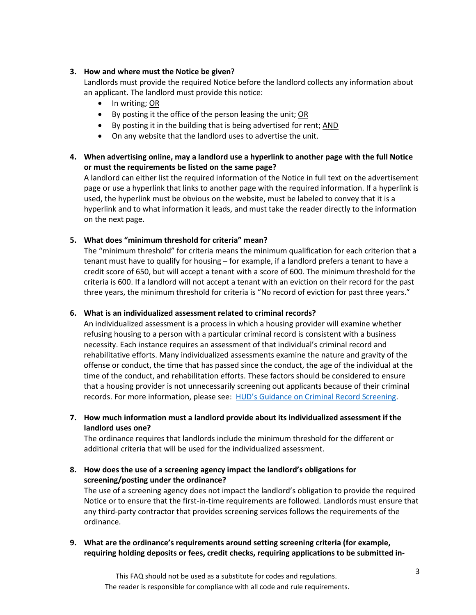## **3. How and where must the Notice be given?**

Landlords must provide the required Notice before the landlord collects any information about an applicant. The landlord must provide this notice:

- In writing; OR
- By posting it the office of the person leasing the unit; OR
- By posting it in the building that is being advertised for rent; AND
- On any website that the landlord uses to advertise the unit.

# **4. When advertising online, may a landlord use a hyperlink to another page with the full Notice or must the requirements be listed on the same page?**

A landlord can either list the required information of the Notice in full text on the advertisement page or use a hyperlink that links to another page with the required information. If a hyperlink is used, the hyperlink must be obvious on the website, must be labeled to convey that it is a hyperlink and to what information it leads, and must take the reader directly to the information on the next page.

## **5. What does "minimum threshold for criteria" mean?**

The "minimum threshold" for criteria means the minimum qualification for each criterion that a tenant must have to qualify for housing – for example, if a landlord prefers a tenant to have a credit score of 650, but will accept a tenant with a score of 600. The minimum threshold for the criteria is 600. If a landlord will not accept a tenant with an eviction on their record for the past three years, the minimum threshold for criteria is "No record of eviction for past three years."

## **6. What is an individualized assessment related to criminal records?**

An individualized assessment is a process in which a housing provider will examine whether refusing housing to a person with a particular criminal record is consistent with a business necessity. Each instance requires an assessment of that individual's criminal record and rehabilitative efforts. Many individualized assessments examine the nature and gravity of the offense or conduct, the time that has passed since the conduct, the age of the individual at the time of the conduct, and rehabilitation efforts. These factors should be considered to ensure that a housing provider is not unnecessarily screening out applicants because of their criminal records. For more information, please see: [HUD's Guidance on Criminal Record Screening.](https://portal.hud.gov/hudportal/documents/huddoc?id=HUD_OGCGuidAppFHAStandCR.pdf)

**7. How much information must a landlord provide about its individualized assessment if the landlord uses one?**

The ordinance requires that landlords include the minimum threshold for the different or additional criteria that will be used for the individualized assessment.

**8. How does the use of a screening agency impact the landlord's obligations for screening/posting under the ordinance?**

The use of a screening agency does not impact the landlord's obligation to provide the required Notice or to ensure that the first-in-time requirements are followed. Landlords must ensure that any third-party contractor that provides screening services follows the requirements of the ordinance.

**9. What are the ordinance's requirements around setting screening criteria (for example, requiring holding deposits or fees, credit checks, requiring applications to be submitted in-**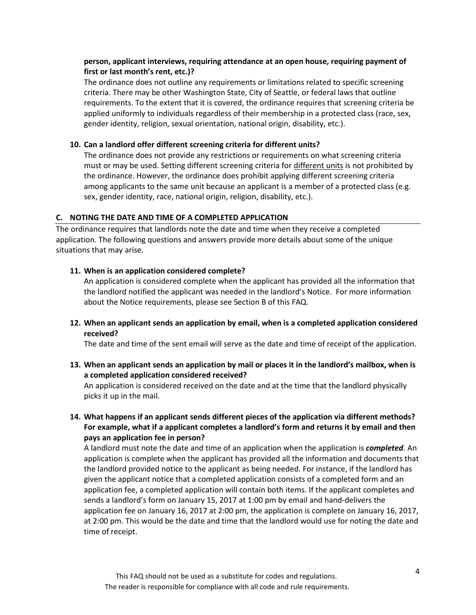## **person, applicant interviews, requiring attendance at an open house, requiring payment of first or last month's rent, etc.)?**

The ordinance does not outline any requirements or limitations related to specific screening criteria. There may be other Washington State, City of Seattle, or federal laws that outline requirements. To the extent that it is covered, the ordinance requires that screening criteria be applied uniformly to individuals regardless of their membership in a protected class (race, sex, gender identity, religion, sexual orientation, national origin, disability, etc.).

#### **10. Can a landlord offer different screening criteria for different units?**

The ordinance does not provide any restrictions or requirements on what screening criteria must or may be used. Setting different screening criteria for different units is not prohibited by the ordinance. However, the ordinance does prohibit applying different screening criteria among applicants to the same unit because an applicant is a member of a protected class (e.g. sex, gender identity, race, national origin, religion, disability, etc.).

#### **C. NOTING THE DATE AND TIME OF A COMPLETED APPLICATION**

The ordinance requires that landlords note the date and time when they receive a completed application. The following questions and answers provide more details about some of the unique situations that may arise.

#### **11. When is an application considered complete?**

An application is considered complete when the applicant has provided all the information that the landlord notified the applicant was needed in the landlord's Notice. For more information about the Notice requirements, please see Section B of this FAQ.

**12. When an applicant sends an application by email, when is a completed application considered received?**

The date and time of the sent email will serve as the date and time of receipt of the application.

**13. When an applicant sends an application by mail or places it in the landlord's mailbox, when is a completed application considered received?**

An application is considered received on the date and at the time that the landlord physically picks it up in the mail.

**14. What happens if an applicant sends different pieces of the application via different methods? For example, what if a applicant completes a landlord's form and returns it by email and then pays an application fee in person?**

A landlord must note the date and time of an application when the application is *completed*. An application is complete when the applicant has provided all the information and documents that the landlord provided notice to the applicant as being needed. For instance, if the landlord has given the applicant notice that a completed application consists of a completed form and an application fee, a completed application will contain both items. If the applicant completes and sends a landlord's form on January 15, 2017 at 1:00 pm by email and hand-delivers the application fee on January 16, 2017 at 2:00 pm, the application is complete on January 16, 2017, at 2:00 pm. This would be the date and time that the landlord would use for noting the date and time of receipt.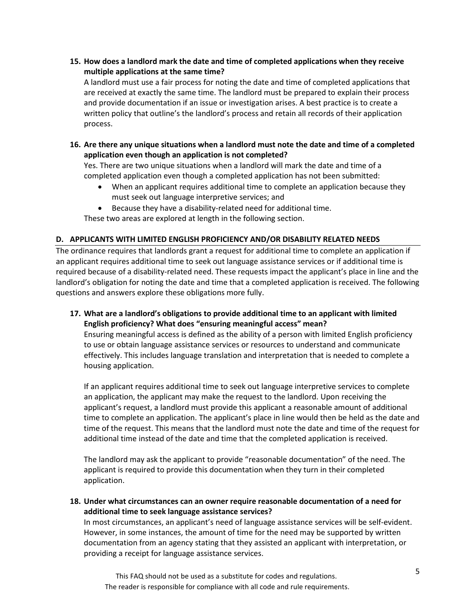**15. How does a landlord mark the date and time of completed applications when they receive multiple applications at the same time?** 

A landlord must use a fair process for noting the date and time of completed applications that are received at exactly the same time. The landlord must be prepared to explain their process and provide documentation if an issue or investigation arises. A best practice is to create a written policy that outline's the landlord's process and retain all records of their application process.

**16. Are there any unique situations when a landlord must note the date and time of a completed application even though an application is not completed?**

Yes. There are two unique situations when a landlord will mark the date and time of a completed application even though a completed application has not been submitted:

- When an applicant requires additional time to complete an application because they must seek out language interpretive services; and
- Because they have a disability-related need for additional time.

These two areas are explored at length in the following section.

## **D. APPLICANTS WITH LIMITED ENGLISH PROFICIENCY AND/OR DISABILITY RELATED NEEDS**

The ordinance requires that landlords grant a request for additional time to complete an application if an applicant requires additional time to seek out language assistance services or if additional time is required because of a disability-related need. These requests impact the applicant's place in line and the landlord's obligation for noting the date and time that a completed application is received. The following questions and answers explore these obligations more fully.

**17. What are a landlord's obligations to provide additional time to an applicant with limited English proficiency? What does "ensuring meaningful access" mean?**

Ensuring meaningful access is defined as the ability of a person with limited English proficiency to use or obtain language assistance services or resources to understand and communicate effectively. This includes language translation and interpretation that is needed to complete a housing application.

If an applicant requires additional time to seek out language interpretive services to complete an application, the applicant may make the request to the landlord. Upon receiving the applicant's request, a landlord must provide this applicant a reasonable amount of additional time to complete an application. The applicant's place in line would then be held as the date and time of the request. This means that the landlord must note the date and time of the request for additional time instead of the date and time that the completed application is received.

The landlord may ask the applicant to provide "reasonable documentation" of the need. The applicant is required to provide this documentation when they turn in their completed application.

**18. Under what circumstances can an owner require reasonable documentation of a need for additional time to seek language assistance services?**

In most circumstances, an applicant's need of language assistance services will be self-evident. However, in some instances, the amount of time for the need may be supported by written documentation from an agency stating that they assisted an applicant with interpretation, or providing a receipt for language assistance services.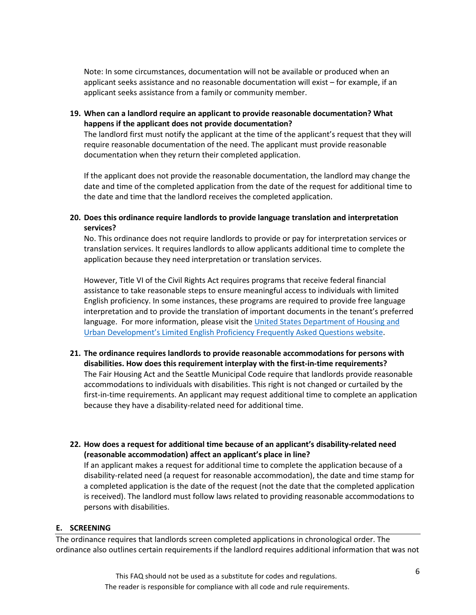Note: In some circumstances, documentation will not be available or produced when an applicant seeks assistance and no reasonable documentation will exist – for example, if an applicant seeks assistance from a family or community member.

**19. When can a landlord require an applicant to provide reasonable documentation? What happens if the applicant does not provide documentation?**

The landlord first must notify the applicant at the time of the applicant's request that they will require reasonable documentation of the need. The applicant must provide reasonable documentation when they return their completed application.

If the applicant does not provide the reasonable documentation, the landlord may change the date and time of the completed application from the date of the request for additional time to the date and time that the landlord receives the completed application.

**20. Does this ordinance require landlords to provide language translation and interpretation services?** 

No. This ordinance does not require landlords to provide or pay for interpretation services or translation services. It requires landlords to allow applicants additional time to complete the application because they need interpretation or translation services.

However, Title VI of the Civil Rights Act requires programs that receive federal financial assistance to take reasonable steps to ensure meaningful access to individuals with limited English proficiency. In some instances, these programs are required to provide free language interpretation and to provide the translation of important documents in the tenant's preferred language. For more information, please visit the [United States Department of Housing and](https://portal.hud.gov/hudportal/HUD?src=/program_offices/fair_housing_equal_opp/promotingfh/lep-faq#q2)  [Urban Development's Limited English Proficiency Frequently Asked Questions website.](https://portal.hud.gov/hudportal/HUD?src=/program_offices/fair_housing_equal_opp/promotingfh/lep-faq#q2)

- **21. The ordinance requires landlords to provide reasonable accommodations for persons with disabilities. How does this requirement interplay with the first-in-time requirements?**  The Fair Housing Act and the Seattle Municipal Code require that landlords provide reasonable accommodations to individuals with disabilities. This right is not changed or curtailed by the first-in-time requirements. An applicant may request additional time to complete an application because they have a disability-related need for additional time.
- **22. How does a request for additional time because of an applicant's disability-related need (reasonable accommodation) affect an applicant's place in line?**

If an applicant makes a request for additional time to complete the application because of a disability-related need (a request for reasonable accommodation), the date and time stamp for a completed application is the date of the request (not the date that the completed application is received). The landlord must follow laws related to providing reasonable accommodations to persons with disabilities.

#### **E. SCREENING**

The ordinance requires that landlords screen completed applications in chronological order. The ordinance also outlines certain requirements if the landlord requires additional information that was not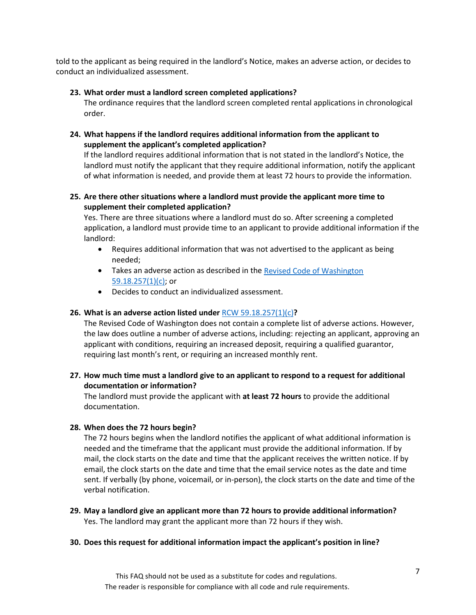told to the applicant as being required in the landlord's Notice, makes an adverse action, or decides to conduct an individualized assessment.

#### **23. What order must a landlord screen completed applications?**

The ordinance requires that the landlord screen completed rental applications in chronological order.

## **24. What happens if the landlord requires additional information from the applicant to supplement the applicant's completed application?**

If the landlord requires additional information that is not stated in the landlord's Notice, the landlord must notify the applicant that they require additional information, notify the applicant of what information is needed, and provide them at least 72 hours to provide the information.

## **25. Are there other situations where a landlord must provide the applicant more time to supplement their completed application?**

Yes. There are three situations where a landlord must do so. After screening a completed application, a landlord must provide time to an applicant to provide additional information if the landlord:

- Requires additional information that was not advertised to the applicant as being needed;
- Takes an adverse action as described in the Revised Code of Washington [59.18.257\(1\)\(c\);](http://app.leg.wa.gov/RCW/default.aspx?cite=59.18.257) or
- Decides to conduct an individualized assessment.

## **26. What is an adverse action listed under** [RCW 59.18.257\(1\)\(c\)](http://app.leg.wa.gov/RCW/default.aspx?cite=59.18.257)**?**

The Revised Code of Washington does not contain a complete list of adverse actions. However, the law does outline a number of adverse actions, including: rejecting an applicant, approving an applicant with conditions, requiring an increased deposit, requiring a qualified guarantor, requiring last month's rent, or requiring an increased monthly rent.

## **27. How much time must a landlord give to an applicant to respond to a request for additional documentation or information?**

The landlord must provide the applicant with **at least 72 hours** to provide the additional documentation.

#### **28. When does the 72 hours begin?**

The 72 hours begins when the landlord notifies the applicant of what additional information is needed and the timeframe that the applicant must provide the additional information. If by mail, the clock starts on the date and time that the applicant receives the written notice. If by email, the clock starts on the date and time that the email service notes as the date and time sent. If verbally (by phone, voicemail, or in-person), the clock starts on the date and time of the verbal notification.

**29. May a landlord give an applicant more than 72 hours to provide additional information?** Yes. The landlord may grant the applicant more than 72 hours if they wish.

#### **30. Does this request for additional information impact the applicant's position in line?**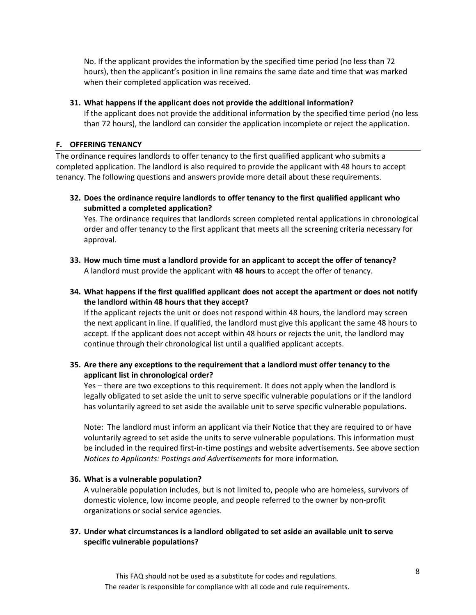No. If the applicant provides the information by the specified time period (no less than 72 hours), then the applicant's position in line remains the same date and time that was marked when their completed application was received.

#### **31. What happens if the applicant does not provide the additional information?**

If the applicant does not provide the additional information by the specified time period (no less than 72 hours), the landlord can consider the application incomplete or reject the application.

#### **F. OFFERING TENANCY**

The ordinance requires landlords to offer tenancy to the first qualified applicant who submits a completed application. The landlord is also required to provide the applicant with 48 hours to accept tenancy. The following questions and answers provide more detail about these requirements.

**32. Does the ordinance require landlords to offer tenancy to the first qualified applicant who submitted a completed application?**

Yes. The ordinance requires that landlords screen completed rental applications in chronological order and offer tenancy to the first applicant that meets all the screening criteria necessary for approval.

- **33. How much time must a landlord provide for an applicant to accept the offer of tenancy?** A landlord must provide the applicant with **48 hours** to accept the offer of tenancy.
- **34. What happens if the first qualified applicant does not accept the apartment or does not notify the landlord within 48 hours that they accept?**

If the applicant rejects the unit or does not respond within 48 hours, the landlord may screen the next applicant in line. If qualified, the landlord must give this applicant the same 48 hours to accept. If the applicant does not accept within 48 hours or rejects the unit, the landlord may continue through their chronological list until a qualified applicant accepts.

## **35. Are there any exceptions to the requirement that a landlord must offer tenancy to the applicant list in chronological order?**

Yes – there are two exceptions to this requirement. It does not apply when the landlord is legally obligated to set aside the unit to serve specific vulnerable populations or if the landlord has voluntarily agreed to set aside the available unit to serve specific vulnerable populations.

Note: The landlord must inform an applicant via their Notice that they are required to or have voluntarily agreed to set aside the units to serve vulnerable populations. This information must be included in the required first-in-time postings and website advertisements. See above section *Notices to Applicants: Postings and Advertisements* for more information*.*

## **36. What is a vulnerable population?**

A vulnerable population includes, but is not limited to, people who are homeless, survivors of domestic violence, low income people, and people referred to the owner by non-profit organizations or social service agencies.

## **37. Under what circumstances is a landlord obligated to set aside an available unit to serve specific vulnerable populations?**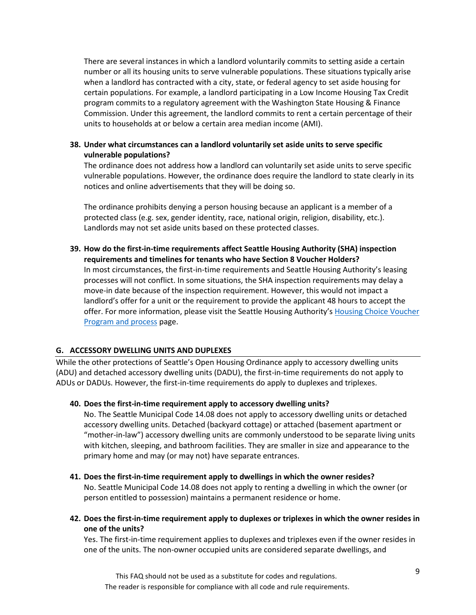There are several instances in which a landlord voluntarily commits to setting aside a certain number or all its housing units to serve vulnerable populations. These situations typically arise when a landlord has contracted with a city, state, or federal agency to set aside housing for certain populations. For example, a landlord participating in a Low Income Housing Tax Credit program commits to a regulatory agreement with the Washington State Housing & Finance Commission. Under this agreement, the landlord commits to rent a certain percentage of their units to households at or below a certain area median income (AMI).

#### **38. Under what circumstances can a landlord voluntarily set aside units to serve specific vulnerable populations?**

The ordinance does not address how a landlord can voluntarily set aside units to serve specific vulnerable populations. However, the ordinance does require the landlord to state clearly in its notices and online advertisements that they will be doing so.

The ordinance prohibits denying a person housing because an applicant is a member of a protected class (e.g. sex, gender identity, race, national origin, religion, disability, etc.). Landlords may not set aside units based on these protected classes.

**39. How do the first-in-time requirements affect Seattle Housing Authority (SHA) inspection requirements and timelines for tenants who have Section 8 Voucher Holders?** In most circumstances, the first-in-time requirements and Seattle Housing Authority's leasing processes will not conflict. In some situations, the SHA inspection requirements may delay a move-in date because of the inspection requirement. However, this would not impact a landlord's offer for a unit or the requirement to provide the applicant 48 hours to accept the offer. For more information, please visit the Seattle Housing Authority's [Housing Choice Voucher](http://www.seattlehousing.org/housing/vouchers/)  [Program and process](http://www.seattlehousing.org/housing/vouchers/) page.

## **G. ACCESSORY DWELLING UNITS AND DUPLEXES**

While the other protections of Seattle's Open Housing Ordinance apply to accessory dwelling units (ADU) and detached accessory dwelling units (DADU), the first-in-time requirements do not apply to ADUs or DADUs. However, the first-in-time requirements do apply to duplexes and triplexes.

#### **40. Does the first-in-time requirement apply to accessory dwelling units?**

No. The Seattle Municipal Code 14.08 does not apply to accessory dwelling units or detached accessory dwelling units. Detached (backyard cottage) or attached (basement apartment or "mother-in-law") accessory dwelling units are commonly understood to be separate living units with kitchen, sleeping, and bathroom facilities. They are smaller in size and appearance to the primary home and may (or may not) have separate entrances.

- **41. Does the first-in-time requirement apply to dwellings in which the owner resides?** No. Seattle Municipal Code 14.08 does not apply to renting a dwelling in which the owner (or person entitled to possession) maintains a permanent residence or home.
- **42. Does the first-in-time requirement apply to duplexes or triplexes in which the owner resides in one of the units?**

Yes. The first-in-time requirement applies to duplexes and triplexes even if the owner resides in one of the units. The non-owner occupied units are considered separate dwellings, and